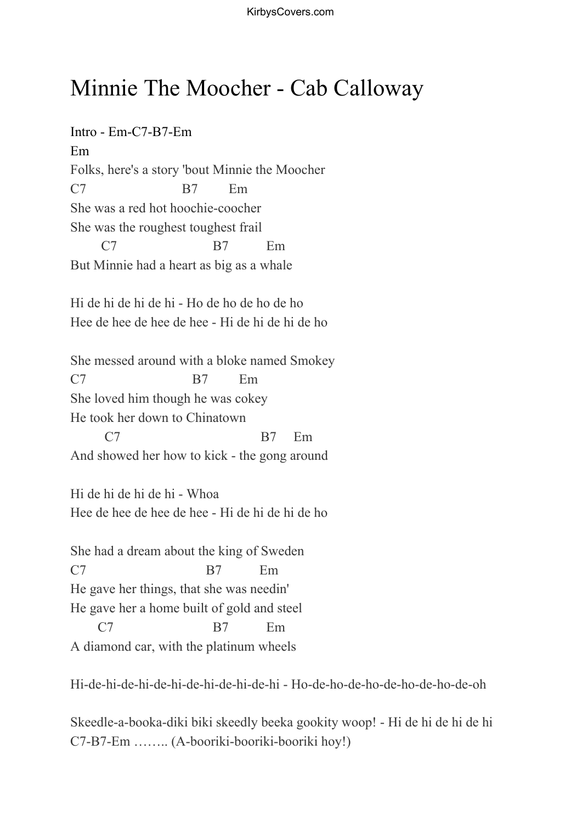## Minnie The Moocher - Cab Calloway

Intro - Em-C7-B7-Em Em Folks, here's a story 'bout Minnie the Moocher C7 B7 Em She was a red hot hoochie-coocher She was the roughest toughest frail C7 B7 Em But Minnie had a heart as big as a whale

Hi de hi de hi de hi - Ho de ho de ho de ho Hee de hee de hee de hee - Hi de hi de hi de ho

She messed around with a bloke named Smokey C7 B7 Em She loved him though he was cokey He took her down to Chinatown C7 B7 Em And showed her how to kick - the gong around

Hi de hi de hi de hi - Whoa Hee de hee de hee de hee - Hi de hi de hi de ho

She had a dream about the king of Sweden C7 B7 Em He gave her things, that she was needin' He gave her a home built of gold and steel C7 B7 Em A diamond car, with the platinum wheels

Hi-de-hi-de-hi-de-hi-de-hi-de-hi-de-hi - Ho-de-ho-de-ho-de-ho-de-ho-de-oh

Skeedle-a-booka-diki biki skeedly beeka gookity woop! - Hi de hi de hi de hi C7-B7-Em …….. (A-booriki-booriki-booriki hoy!)